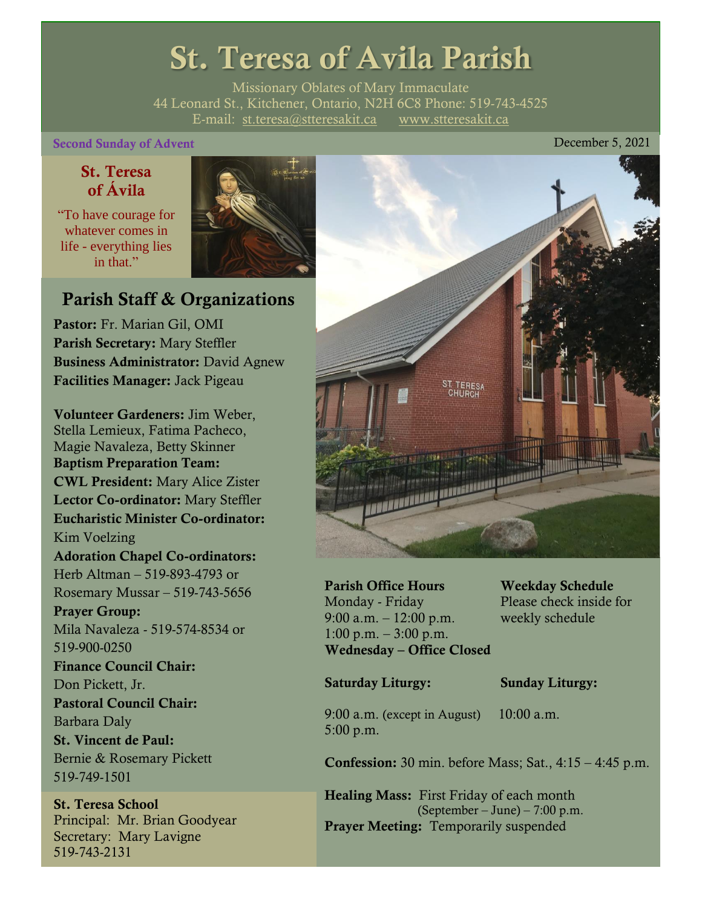# St. Teresa of Avila Parish

Missionary Oblates of Mary Immaculate 44 Leonard St., Kitchener, Ontario, N2H 6C8 Phone: 519-743-4525 E-mail: [st.teresa@stteresakit.ca](mailto:st.teresa@stteresakit.ca) [www.stteresakit.ca](http://www.stteresakit.ca/)

# Second Sunday of Advent **December 5, 2021**

# St. Teresa of Ávila

"To have courage for whatever comes in life - everything lies in that"



# Parish Staff & Organizations

Pastor: Fr. Marian Gil, OMI Parish Secretary: Mary Steffler Business Administrator: David Agnew Facilities Manager: Jack Pigeau

Volunteer Gardeners: Jim Weber, Stella Lemieux, Fatima Pacheco, Magie Navaleza, Betty Skinner Baptism Preparation Team: CWL President: Mary Alice Zister Lector Co-ordinator: Mary Steffler Eucharistic Minister Co-ordinator: Kim Voelzing Adoration Chapel Co-ordinators: Herb Altman – 519-893-4793 or Rosemary Mussar – 519-743-5656 Prayer Group: Mila Navaleza - 519-574-8534 or 519-900-0250 Finance Council Chair: Don Pickett, Jr. Pastoral Council Chair: Barbara Daly St. Vincent de Paul: Bernie & Rosemary Pickett 519-749-1501

St. Teresa School Principal: Mr. Brian Goodyear Secretary: Mary Lavigne 519-743-2131



Parish Office Hours Weekday Schedule Monday - Friday Please check inside for 9:00 a.m. – 12:00 p.m. weekly schedule 1:00 p.m.  $-3:00$  p.m. Wednesday – Office Closed

# Saturday Liturgy: Sunday Liturgy:

9:00 a.m. (except in August) 10:00 a.m. 5:00 p.m.

Confession: 30 min. before Mass; Sat., 4:15 – 4:45 p.m.

Healing Mass: First Friday of each month (September – June) – 7:00 p.m. Prayer Meeting: Temporarily suspended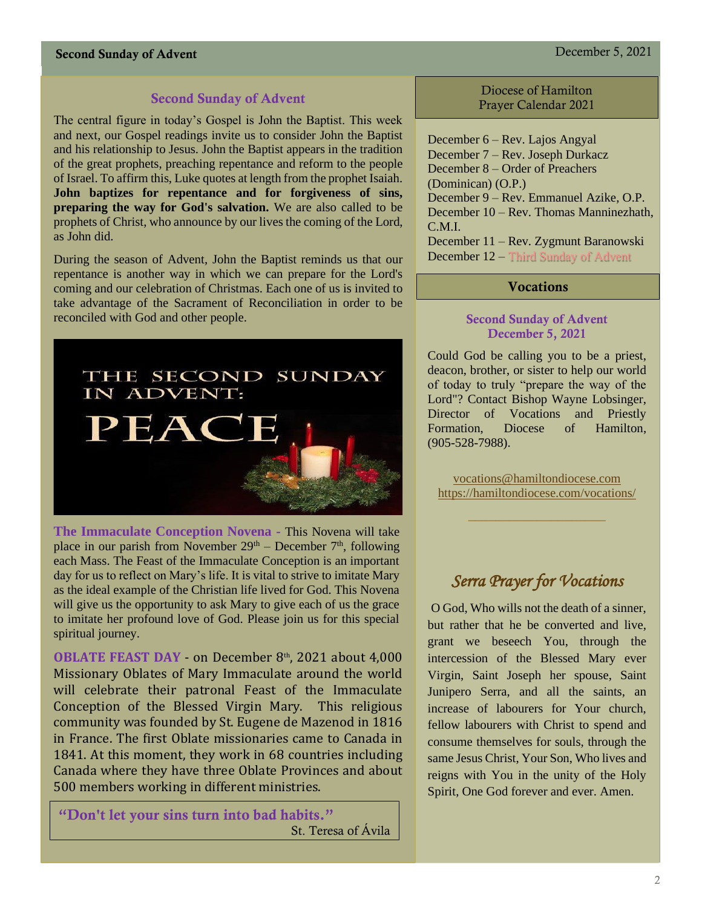# Second Sunday of Advent December 5, 2021

# Second Sunday of Advent

The central figure in today's Gospel is John the Baptist. This week and next, our Gospel readings invite us to consider John the Baptist and his relationship to Jesus. John the Baptist appears in the tradition of the great prophets, preaching repentance and reform to the people of Israel. To affirm this, Luke quotes at length from the prophet Isaiah. **John baptizes for repentance and for forgiveness of sins, preparing the way for God's salvation.** We are also called to be prophets of Christ, who announce by our lives the coming of the Lord, as John did.

During the season of Advent, John the Baptist reminds us that our repentance is another way in which we can prepare for the Lord's coming and our celebration of Christmas. Each one of us is invited to take advantage of the Sacrament of Reconciliation in order to be reconciled with God and other people.



**The Immaculate Conception Novena -** This Novena will take place in our parish from November  $29<sup>th</sup>$  – December  $7<sup>th</sup>$ , following each Mass. The Feast of the Immaculate Conception is an important day for us to reflect on Mary's life. It is vital to strive to imitate Mary as the ideal example of the Christian life lived for God. This Novena will give us the opportunity to ask Mary to give each of us the grace to imitate her profound love of God. Please join us for this special spiritual journey.

**OBLATE FEAST DAY** - on December 8<sup>th</sup>, 2021 about 4,000 Missionary Oblates of Mary Immaculate around the world will celebrate their patronal Feast of the Immaculate Conception of the Blessed Virgin Mary. This religious community was founded by St. Eugene de Mazenod in 1816 in France. The first Oblate missionaries came to Canada in 1841. At this moment, they work in 68 countries including Canada where they have three Oblate Provinces and about 500 members working in different ministries.

"Don't let your sins turn into bad habits." St. Teresa of Ávila

Diocese of Hamilton Prayer Calendar 2021

December 6 – Rev. Lajos Angyal December 7 – Rev. Joseph Durkacz December 8 – Order of Preachers (Dominican) (O.P.) December 9 – Rev. Emmanuel Azike, O.P. December 10 – Rev. Thomas Manninezhath, C.M.I. December 11 – Rev. Zygmunt Baranowski December 12 – Third Sunday of Advent

# Vocations

# Second Sunday of Advent December 5, 2021

Could God be calling you to be a priest, deacon, brother, or sister to help our world of today to truly "prepare the way of the Lord"? Contact Bishop Wayne Lobsinger, Director of Vocations and Priestly Formation, Diocese of Hamilton, (905-528-7988).

[vocations@hamiltondiocese.com](mailto:vocations@hamiltondiocese.com)  <https://hamiltondiocese.com/vocations/>

# *Serra Prayer for Vocations*

O God, Who wills not the death of a sinner, but rather that he be converted and live, grant we beseech You, through the intercession of the Blessed Mary ever Virgin, Saint Joseph her spouse, Saint Junipero Serra, and all the saints, an increase of labourers for Your church, fellow labourers with Christ to spend and consume themselves for souls, through the same Jesus Christ, Your Son, Who lives and reigns with You in the unity of the Holy Spirit, One God forever and ever. Amen.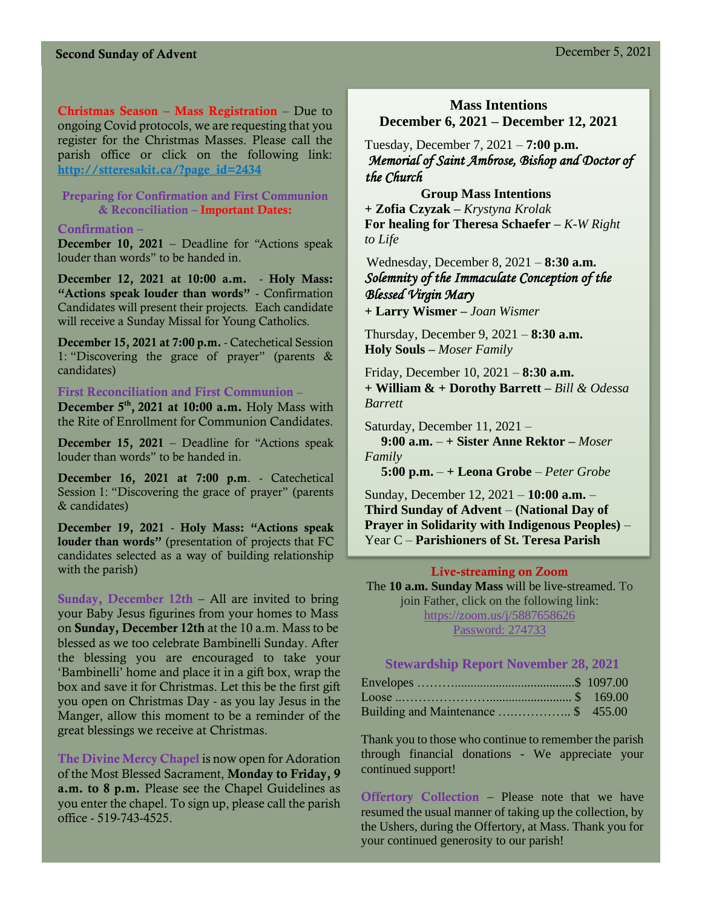Christmas Season – Mass Registration – Due to ongoing Covid protocols, we are requesting that you register for the Christmas Masses. Please call the parish office or click on the following link: [http://stteresakit.ca/?page\\_id=2434](http://stteresakit.ca/?page_id=2434)

# Preparing for Confirmation and First Communion & Reconciliation – Important Dates:

#### Confirmation –

December 10, 2021 – Deadline for "Actions speak louder than words" to be handed in.

December 12, 2021 at 10:00 a.m. - Holy Mass: "Actions speak louder than words" - Confirmation Candidates will present their projects. Each candidate will receive a Sunday Missal for Young Catholics.

December 15, 2021 at 7:00 p.m. - Catechetical Session 1: "Discovering the grace of prayer" (parents & candidates)

#### First Reconciliation and First Communion **–**

December  $5<sup>th</sup>$ , 2021 at 10:00 a.m. Holy Mass with the Rite of Enrollment for Communion Candidates.

December 15, 2021 – Deadline for "Actions speak louder than words" to be handed in.

December 16, 2021 at 7:00 p.m. - Catechetical Session 1: "Discovering the grace of prayer" (parents & candidates)

December 19, 2021 - Holy Mass: "Actions speak louder than words" (presentation of projects that FC candidates selected as a way of building relationship with the parish)

Sunday, December 12th – All are invited to bring your Baby Jesus figurines from your homes to Mass on Sunday, December 12th at the 10 a.m. Mass to be blessed as we too celebrate Bambinelli Sunday. After the blessing you are encouraged to take your 'Bambinelli' home and place it in a gift box, wrap the box and save it for Christmas. Let this be the first gift you open on Christmas Day - as you lay Jesus in the Manger, allow this moment to be a reminder of the great blessings we receive at Christmas.

The Divine Mercy Chapel is now open for Adoration of the Most Blessed Sacrament, Monday to Friday, 9 a.m. to 8 p.m. Please see the Chapel Guidelines as you enter the chapel. To sign up, please call the parish office - 519-743-4525.

# **Mass Intentions December 6, 2021 – December 12, 2021**

Tuesday, December 7, 2021 – **7:00 p.m.**  *Memorial of Saint Ambrose, Bishop and Doctor of the Church*

 **Group Mass Intentions + Zofia Czyzak –** *Krystyna Krolak* **For healing for Theresa Schaefer –** *K-W Right to Life* 

Wednesday, December 8, 2021 – **8:30 a.m.** *Solemnity of the Immaculate Conception of the Blessed Virgin Mary* **+ Larry Wismer –** *Joan Wismer*

Thursday, December 9, 2021 – **8:30 a.m. Holy Souls –** *Moser Family*

Friday, December 10, 2021 – **8:30 a.m.** **+ William & + Dorothy Barrett –** *Bill & Odessa Barrett*

Saturday, December 11, 2021 –

 **9:00 a.m.** – **+ Sister Anne Rektor –** *Moser Family*

**5:00 p.m.** – **+ Leona Grobe** – *Peter Grobe*

Sunday, December 12, 2021 – **10:00 a.m.** – **Third Sunday of Advent** – **(National Day of Prayer in Solidarity with Indigenous Peoples)** – Year C – **Parishioners of St. Teresa Parish** 

#### Live-streaming on Zoom

The **10 a.m. Sunday Mass** will be live-streamed. To join Father, click on the following link: <https://zoom.us/j/5887658626> Password: 274733

# **Stewardship Report November 28, 2021**

| Building and Maintenance \$ 455.00 |  |
|------------------------------------|--|

Thank you to those who continue to remember the parish through financial donations - We appreciate your continued support!

Offertory Collection – Please note that we have resumed the usual manner of taking up the collection, by the Ushers, during the Offertory, at Mass. Thank you for your continued generosity to our parish!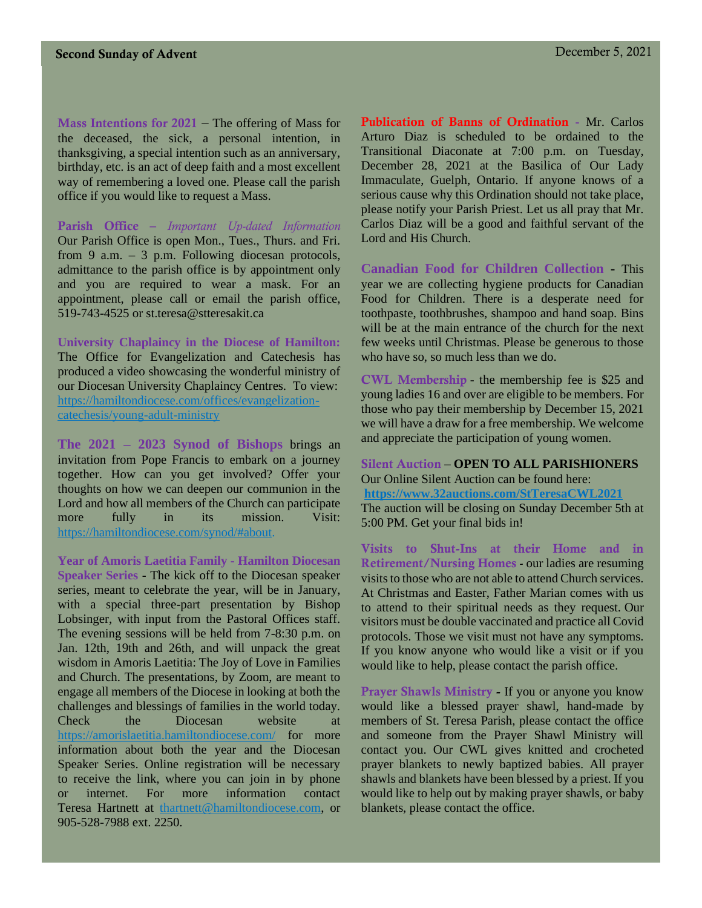Mass Intentions for 2021 – The offering of Mass for the deceased, the sick, a personal intention, in thanksgiving, a special intention such as an anniversary, birthday, etc. is an act of deep faith and a most excellent way of remembering a loved one. Please call the parish office if you would like to request a Mass.

Parish Office – *Important Up-dated Information*  Our Parish Office is open Mon., Tues., Thurs. and Fri. from 9 a.m. – 3 p.m. Following diocesan protocols, admittance to the parish office is by appointment only and you are required to wear a mask. For an appointment, please call or email the parish office, 519-743-4525 or st.teresa@stteresakit.ca

**University Chaplaincy in the Diocese of Hamilton:**  The Office for Evangelization and Catechesis has produced a video showcasing the wonderful ministry of our Diocesan University Chaplaincy Centres. To view: [https://hamiltondiocese.com/offices/evangelization](https://hamiltondiocese.com/offices/evangelization-catechesis/young-adult-ministry)[catechesis/young-adult-ministry](https://hamiltondiocese.com/offices/evangelization-catechesis/young-adult-ministry)

**The 2021 – 2023 Synod of Bishops** brings an invitation from Pope Francis to embark on a journey together. How can you get involved? Offer your thoughts on how we can deepen our communion in the Lord and how all members of the Church can participate more fully in its mission. Visit: [https://hamiltondiocese.com/synod/#about.](https://hamiltondiocese.com/synod/#about)

**Year of Amoris Laetitia Family - Hamilton Diocesan Speaker Series -** The kick off to the Diocesan speaker series, meant to celebrate the year, will be in January, with a special three-part presentation by Bishop Lobsinger, with input from the Pastoral Offices staff. The evening sessions will be held from 7-8:30 p.m. on Jan. 12th, 19th and 26th, and will unpack the great wisdom in Amoris Laetitia: The Joy of Love in Families and Church. The presentations, by Zoom, are meant to engage all members of the Diocese in looking at both the challenges and blessings of families in the world today. Check the Diocesan website at <https://amorislaetitia.hamiltondiocese.com/> for more information about both the year and the Diocesan Speaker Series. Online registration will be necessary to receive the link, where you can join in by phone or internet. For more information contact Teresa Hartnett at [thartnett@hamiltondiocese.com,](mailto:thartnett@hamiltondiocese.com) or 905-528-7988 ext. 2250.

Publication of Banns of Ordination **-** Mr. Carlos Arturo Diaz is scheduled to be ordained to the Transitional Diaconate at 7:00 p.m. on Tuesday, December 28, 2021 at the Basilica of Our Lady Immaculate, Guelph, Ontario. If anyone knows of a serious cause why this Ordination should not take place, please notify your Parish Priest. Let us all pray that Mr. Carlos Diaz will be a good and faithful servant of the Lord and His Church.

**Canadian Food for Children Collection -** This year we are collecting hygiene products for Canadian Food for Children. There is a desperate need for toothpaste, toothbrushes, shampoo and hand soap. Bins will be at the main entrance of the church for the next few weeks until Christmas. Please be generous to those who have so, so much less than we do.

CWL Membership - the membership fee is \$25 and young ladies 16 and over are eligible to be members. For those who pay their membership by December 15, 2021 we will have a draw for a free membership. We welcome and appreciate the participation of young women.

Silent Auction – **OPEN TO ALL PARISHIONERS** Our Online Silent Auction can be found here: **<https://www.32auctions.com/StTeresaCWL2021>** The auction will be closing on Sunday December 5th at 5:00 PM. Get your final bids in!

Visits to Shut-Ins at their Home and in Retirement/Nursing Homes - our ladies are resuming visits to those who are not able to attend Church services. At Christmas and Easter, Father Marian comes with us to attend to their spiritual needs as they request. Our visitors must be double vaccinated and practice all Covid protocols. Those we visit must not have any symptoms. If you know anyone who would like a visit or if you would like to help, please contact the parish office.

Prayer Shawls Ministry - If you or anyone you know would like a blessed prayer shawl, hand-made by members of St. Teresa Parish, please contact the office and someone from the Prayer Shawl Ministry will contact you. Our CWL gives knitted and crocheted prayer blankets to newly baptized babies. All prayer shawls and blankets have been blessed by a priest. If you would like to help out by making prayer shawls, or baby blankets, please contact the office.